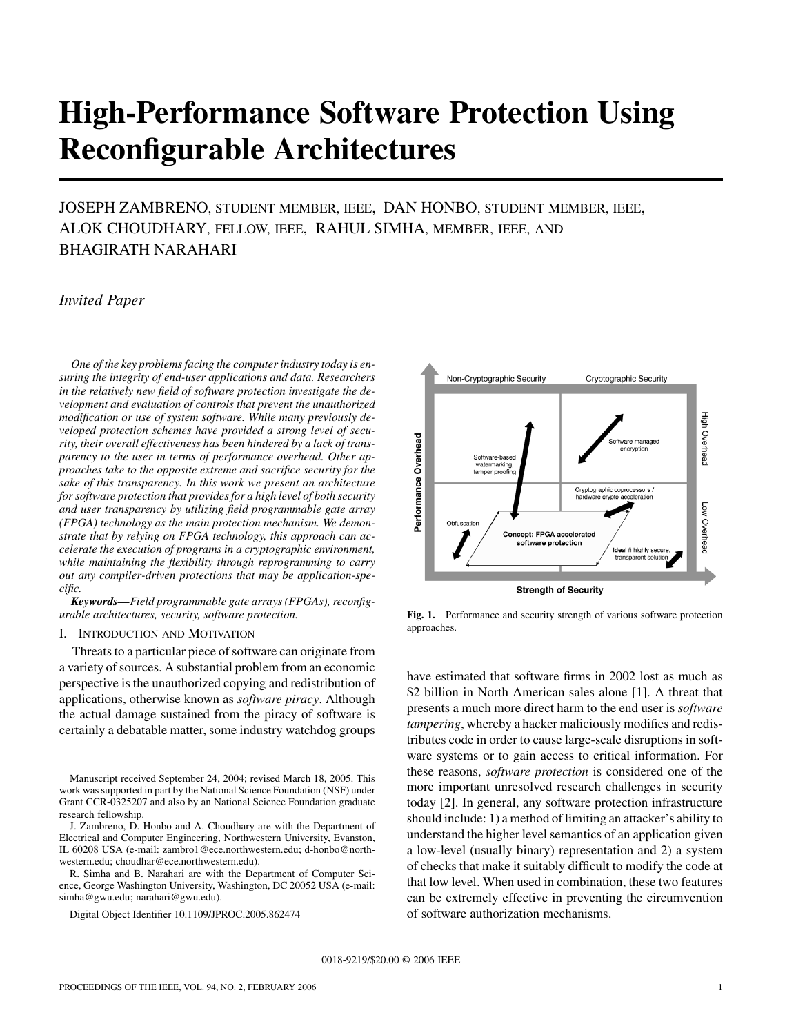# **High-Performance Software Protection Using Reconfigurable Architectures**

JOSEPH ZAMBRENO, STUDENT MEMBER, IEEE, DAN HONBO, STUDENT MEMBER, IEEE, ALOK CHOUDHARY, FELLOW, IEEE, RAHUL SIMHA, MEMBER, IEEE, AND BHAGIRATH NARAHARI

## *Invited Paper*

*One of the key problems facing the computer industry today is ensuring the integrity of end-user applications and data. Researchers in the relatively new field of software protection investigate the development and evaluation of controls that prevent the unauthorized modification or use of system software. While many previously developed protection schemes have provided a strong level of security, their overall effectiveness has been hindered by a lack of transparency to the user in terms of performance overhead. Other approaches take to the opposite extreme and sacrifice security for the sake of this transparency. In this work we present an architecture for software protection that provides for a high level of both security and user transparency by utilizing field programmable gate array (FPGA) technology as the main protection mechanism. We demonstrate that by relying on FPGA technology, this approach can accelerate the execution of programs in a cryptographic environment, while maintaining the flexibility through reprogramming to carry out any compiler-driven protections that may be application-specific.*

*Keywords—Field programmable gate arrays (FPGAs), reconfigurable architectures, security, software protection.*

#### I. INTRODUCTION AND MOTIVATION

Threats to a particular piece of software can originate from a variety of sources. A substantial problem from an economic perspective is the unauthorized copying and redistribution of applications, otherwise known as *software piracy*. Although the actual damage sustained from the piracy of software is certainly a debatable matter, some industry watchdog groups

Manuscript received September 24, 2004; revised March 18, 2005. This work was supported in part by the National Science Foundation (NSF) under Grant CCR-0325207 and also by an National Science Foundation graduate research fellowship.

J. Zambreno, D. Honbo and A. Choudhary are with the Department of Electrical and Computer Engineering, Northwestern University, Evanston, IL 60208 USA (e-mail: zambro1@ece.northwestern.edu; d-honbo@northwestern.edu; choudhar@ece.northwestern.edu).

R. Simha and B. Narahari are with the Department of Computer Science, George Washington University, Washington, DC 20052 USA (e-mail: simha@gwu.edu; narahari@gwu.edu).

Digital Object Identifier 10.1109/JPROC.2005.862474



Fig. 1. Performance and security strength of various software protection approaches.

have estimated that software firms in 2002 lost as much as \$2 billion in North American sales alone [1]. A threat that presents a much more direct harm to the end user is *software tampering*, whereby a hacker maliciously modifies and redistributes code in order to cause large-scale disruptions in software systems or to gain access to critical information. For these reasons, *software protection* is considered one of the more important unresolved research challenges in security today [2]. In general, any software protection infrastructure should include: 1) a method of limiting an attacker's ability to understand the higher level semantics of an application given a low-level (usually binary) representation and 2) a system of checks that make it suitably difficult to modify the code at that low level. When used in combination, these two features can be extremely effective in preventing the circumvention of software authorization mechanisms.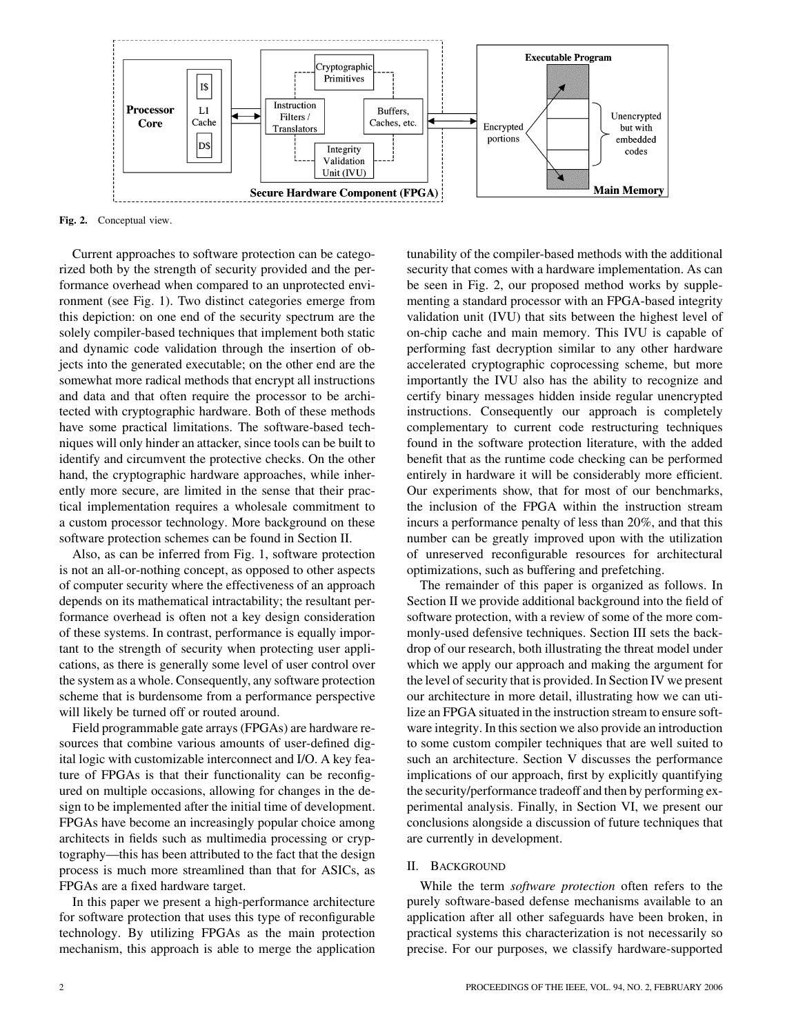

**Fig. 2.** Conceptual view.

Current approaches to software protection can be categorized both by the strength of security provided and the performance overhead when compared to an unprotected environment (see Fig. 1). Two distinct categories emerge from this depiction: on one end of the security spectrum are the solely compiler-based techniques that implement both static and dynamic code validation through the insertion of objects into the generated executable; on the other end are the somewhat more radical methods that encrypt all instructions and data and that often require the processor to be architected with cryptographic hardware. Both of these methods have some practical limitations. The software-based techniques will only hinder an attacker, since tools can be built to identify and circumvent the protective checks. On the other hand, the cryptographic hardware approaches, while inherently more secure, are limited in the sense that their practical implementation requires a wholesale commitment to a custom processor technology. More background on these software protection schemes can be found in Section II.

Also, as can be inferred from Fig. 1, software protection is not an all-or-nothing concept, as opposed to other aspects of computer security where the effectiveness of an approach depends on its mathematical intractability; the resultant performance overhead is often not a key design consideration of these systems. In contrast, performance is equally important to the strength of security when protecting user applications, as there is generally some level of user control over the system as a whole. Consequently, any software protection scheme that is burdensome from a performance perspective will likely be turned off or routed around.

Field programmable gate arrays (FPGAs) are hardware resources that combine various amounts of user-defined digital logic with customizable interconnect and I/O. A key feature of FPGAs is that their functionality can be reconfigured on multiple occasions, allowing for changes in the design to be implemented after the initial time of development. FPGAs have become an increasingly popular choice among architects in fields such as multimedia processing or cryptography—this has been attributed to the fact that the design process is much more streamlined than that for ASICs, as FPGAs are a fixed hardware target.

In this paper we present a high-performance architecture for software protection that uses this type of reconfigurable technology. By utilizing FPGAs as the main protection mechanism, this approach is able to merge the application tunability of the compiler-based methods with the additional security that comes with a hardware implementation. As can be seen in Fig. 2, our proposed method works by supplementing a standard processor with an FPGA-based integrity validation unit (IVU) that sits between the highest level of on-chip cache and main memory. This IVU is capable of performing fast decryption similar to any other hardware accelerated cryptographic coprocessing scheme, but more importantly the IVU also has the ability to recognize and certify binary messages hidden inside regular unencrypted instructions. Consequently our approach is completely complementary to current code restructuring techniques found in the software protection literature, with the added benefit that as the runtime code checking can be performed entirely in hardware it will be considerably more efficient. Our experiments show, that for most of our benchmarks, the inclusion of the FPGA within the instruction stream incurs a performance penalty of less than 20%, and that this number can be greatly improved upon with the utilization of unreserved reconfigurable resources for architectural optimizations, such as buffering and prefetching.

The remainder of this paper is organized as follows. In Section II we provide additional background into the field of software protection, with a review of some of the more commonly-used defensive techniques. Section III sets the backdrop of our research, both illustrating the threat model under which we apply our approach and making the argument for the level of security that is provided. In Section IV we present our architecture in more detail, illustrating how we can utilize an FPGA situated in the instruction stream to ensure software integrity. In this section we also provide an introduction to some custom compiler techniques that are well suited to such an architecture. Section V discusses the performance implications of our approach, first by explicitly quantifying the security/performance tradeoff and then by performing experimental analysis. Finally, in Section VI, we present our conclusions alongside a discussion of future techniques that are currently in development.

## II. BACKGROUND

While the term *software protection* often refers to the purely software-based defense mechanisms available to an application after all other safeguards have been broken, in practical systems this characterization is not necessarily so precise. For our purposes, we classify hardware-supported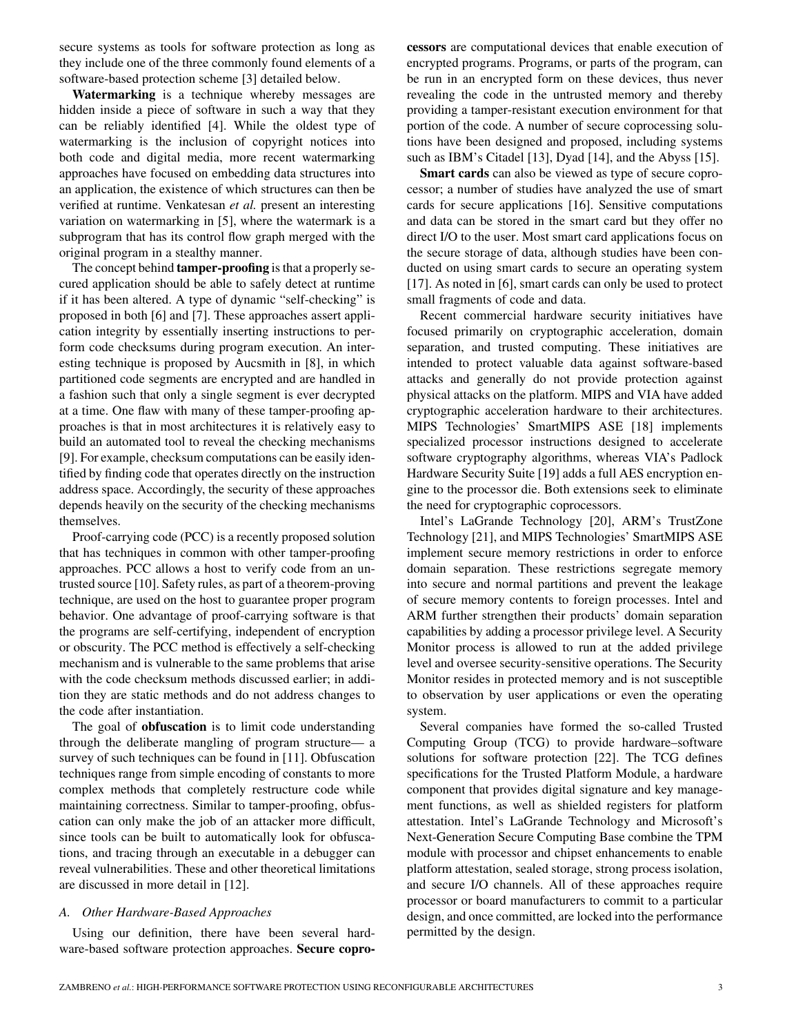secure systems as tools for software protection as long as they include one of the three commonly found elements of a software-based protection scheme [3] detailed below.

**Watermarking** is a technique whereby messages are hidden inside a piece of software in such a way that they can be reliably identified [4]. While the oldest type of watermarking is the inclusion of copyright notices into both code and digital media, more recent watermarking approaches have focused on embedding data structures into an application, the existence of which structures can then be verified at runtime. Venkatesan *et al.* present an interesting variation on watermarking in [5], where the watermark is a subprogram that has its control flow graph merged with the original program in a stealthy manner.

The concept behind **tamper-proofing** is that a properly secured application should be able to safely detect at runtime if it has been altered. A type of dynamic "self-checking" is proposed in both [6] and [7]. These approaches assert application integrity by essentially inserting instructions to perform code checksums during program execution. An interesting technique is proposed by Aucsmith in [8], in which partitioned code segments are encrypted and are handled in a fashion such that only a single segment is ever decrypted at a time. One flaw with many of these tamper-proofing approaches is that in most architectures it is relatively easy to build an automated tool to reveal the checking mechanisms [9]. For example, checksum computations can be easily identified by finding code that operates directly on the instruction address space. Accordingly, the security of these approaches depends heavily on the security of the checking mechanisms themselves.

Proof-carrying code (PCC) is a recently proposed solution that has techniques in common with other tamper-proofing approaches. PCC allows a host to verify code from an untrusted source [10]. Safety rules, as part of a theorem-proving technique, are used on the host to guarantee proper program behavior. One advantage of proof-carrying software is that the programs are self-certifying, independent of encryption or obscurity. The PCC method is effectively a self-checking mechanism and is vulnerable to the same problems that arise with the code checksum methods discussed earlier; in addition they are static methods and do not address changes to the code after instantiation.

The goal of **obfuscation** is to limit code understanding through the deliberate mangling of program structure— a survey of such techniques can be found in [11]. Obfuscation techniques range from simple encoding of constants to more complex methods that completely restructure code while maintaining correctness. Similar to tamper-proofing, obfuscation can only make the job of an attacker more difficult, since tools can be built to automatically look for obfuscations, and tracing through an executable in a debugger can reveal vulnerabilities. These and other theoretical limitations are discussed in more detail in [12].

#### *A. Other Hardware-Based Approaches*

Using our definition, there have been several hardware-based software protection approaches. **Secure copro-**

**cessors** are computational devices that enable execution of encrypted programs. Programs, or parts of the program, can be run in an encrypted form on these devices, thus never revealing the code in the untrusted memory and thereby providing a tamper-resistant execution environment for that portion of the code. A number of secure coprocessing solutions have been designed and proposed, including systems such as IBM's Citadel [13], Dyad [14], and the Abyss [15].

**Smart cards** can also be viewed as type of secure coprocessor; a number of studies have analyzed the use of smart cards for secure applications [16]. Sensitive computations and data can be stored in the smart card but they offer no direct I/O to the user. Most smart card applications focus on the secure storage of data, although studies have been conducted on using smart cards to secure an operating system [17]. As noted in [6], smart cards can only be used to protect small fragments of code and data.

Recent commercial hardware security initiatives have focused primarily on cryptographic acceleration, domain separation, and trusted computing. These initiatives are intended to protect valuable data against software-based attacks and generally do not provide protection against physical attacks on the platform. MIPS and VIA have added cryptographic acceleration hardware to their architectures. MIPS Technologies' SmartMIPS ASE [18] implements specialized processor instructions designed to accelerate software cryptography algorithms, whereas VIA's Padlock Hardware Security Suite [19] adds a full AES encryption engine to the processor die. Both extensions seek to eliminate the need for cryptographic coprocessors.

Intel's LaGrande Technology [20], ARM's TrustZone Technology [21], and MIPS Technologies' SmartMIPS ASE implement secure memory restrictions in order to enforce domain separation. These restrictions segregate memory into secure and normal partitions and prevent the leakage of secure memory contents to foreign processes. Intel and ARM further strengthen their products' domain separation capabilities by adding a processor privilege level. A Security Monitor process is allowed to run at the added privilege level and oversee security-sensitive operations. The Security Monitor resides in protected memory and is not susceptible to observation by user applications or even the operating system.

Several companies have formed the so-called Trusted Computing Group (TCG) to provide hardware–software solutions for software protection [22]. The TCG defines specifications for the Trusted Platform Module, a hardware component that provides digital signature and key management functions, as well as shielded registers for platform attestation. Intel's LaGrande Technology and Microsoft's Next-Generation Secure Computing Base combine the TPM module with processor and chipset enhancements to enable platform attestation, sealed storage, strong process isolation, and secure I/O channels. All of these approaches require processor or board manufacturers to commit to a particular design, and once committed, are locked into the performance permitted by the design.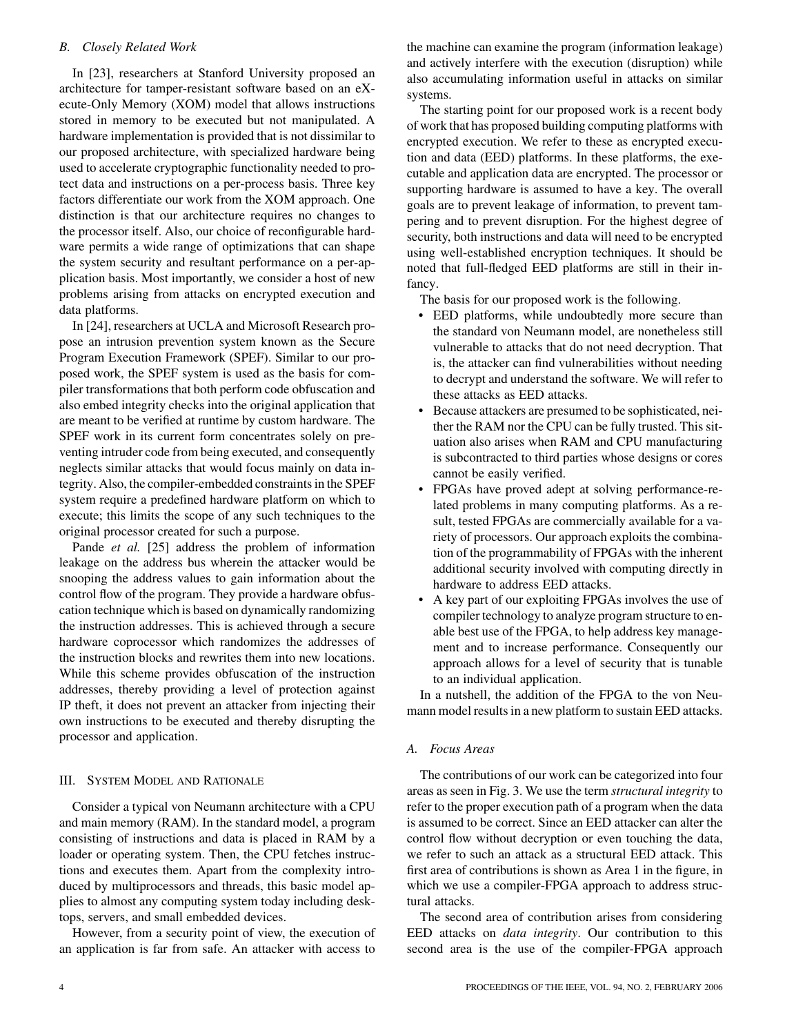## *B. Closely Related Work*

In [23], researchers at Stanford University proposed an architecture for tamper-resistant software based on an eXecute-Only Memory (XOM) model that allows instructions stored in memory to be executed but not manipulated. A hardware implementation is provided that is not dissimilar to our proposed architecture, with specialized hardware being used to accelerate cryptographic functionality needed to protect data and instructions on a per-process basis. Three key factors differentiate our work from the XOM approach. One distinction is that our architecture requires no changes to the processor itself. Also, our choice of reconfigurable hardware permits a wide range of optimizations that can shape the system security and resultant performance on a per-application basis. Most importantly, we consider a host of new problems arising from attacks on encrypted execution and data platforms.

In [24], researchers at UCLA and Microsoft Research propose an intrusion prevention system known as the Secure Program Execution Framework (SPEF). Similar to our proposed work, the SPEF system is used as the basis for compiler transformations that both perform code obfuscation and also embed integrity checks into the original application that are meant to be verified at runtime by custom hardware. The SPEF work in its current form concentrates solely on preventing intruder code from being executed, and consequently neglects similar attacks that would focus mainly on data integrity. Also, the compiler-embedded constraints in the SPEF system require a predefined hardware platform on which to execute; this limits the scope of any such techniques to the original processor created for such a purpose.

Pande *et al.* [25] address the problem of information leakage on the address bus wherein the attacker would be snooping the address values to gain information about the control flow of the program. They provide a hardware obfuscation technique which is based on dynamically randomizing the instruction addresses. This is achieved through a secure hardware coprocessor which randomizes the addresses of the instruction blocks and rewrites them into new locations. While this scheme provides obfuscation of the instruction addresses, thereby providing a level of protection against IP theft, it does not prevent an attacker from injecting their own instructions to be executed and thereby disrupting the processor and application.

#### III. SYSTEM MODEL AND RATIONALE

Consider a typical von Neumann architecture with a CPU and main memory (RAM). In the standard model, a program consisting of instructions and data is placed in RAM by a loader or operating system. Then, the CPU fetches instructions and executes them. Apart from the complexity introduced by multiprocessors and threads, this basic model applies to almost any computing system today including desktops, servers, and small embedded devices.

However, from a security point of view, the execution of an application is far from safe. An attacker with access to the machine can examine the program (information leakage) and actively interfere with the execution (disruption) while also accumulating information useful in attacks on similar systems.

The starting point for our proposed work is a recent body of work that has proposed building computing platforms with encrypted execution. We refer to these as encrypted execution and data (EED) platforms. In these platforms, the executable and application data are encrypted. The processor or supporting hardware is assumed to have a key. The overall goals are to prevent leakage of information, to prevent tampering and to prevent disruption. For the highest degree of security, both instructions and data will need to be encrypted using well-established encryption techniques. It should be noted that full-fledged EED platforms are still in their infancy.

The basis for our proposed work is the following.

- EED platforms, while undoubtedly more secure than the standard von Neumann model, are nonetheless still vulnerable to attacks that do not need decryption. That is, the attacker can find vulnerabilities without needing to decrypt and understand the software. We will refer to these attacks as EED attacks.
- Because attackers are presumed to be sophisticated, neither the RAM nor the CPU can be fully trusted. This situation also arises when RAM and CPU manufacturing is subcontracted to third parties whose designs or cores cannot be easily verified.
- FPGAs have proved adept at solving performance-related problems in many computing platforms. As a result, tested FPGAs are commercially available for a variety of processors. Our approach exploits the combination of the programmability of FPGAs with the inherent additional security involved with computing directly in hardware to address EED attacks.
- A key part of our exploiting FPGAs involves the use of compiler technology to analyze program structure to enable best use of the FPGA, to help address key management and to increase performance. Consequently our approach allows for a level of security that is tunable to an individual application.

In a nutshell, the addition of the FPGA to the von Neumann model results in a new platform to sustain EED attacks.

## *A. Focus Areas*

The contributions of our work can be categorized into four areas as seen in Fig. 3. We use the term *structural integrity* to refer to the proper execution path of a program when the data is assumed to be correct. Since an EED attacker can alter the control flow without decryption or even touching the data, we refer to such an attack as a structural EED attack. This first area of contributions is shown as Area 1 in the figure, in which we use a compiler-FPGA approach to address structural attacks.

The second area of contribution arises from considering EED attacks on *data integrity*. Our contribution to this second area is the use of the compiler-FPGA approach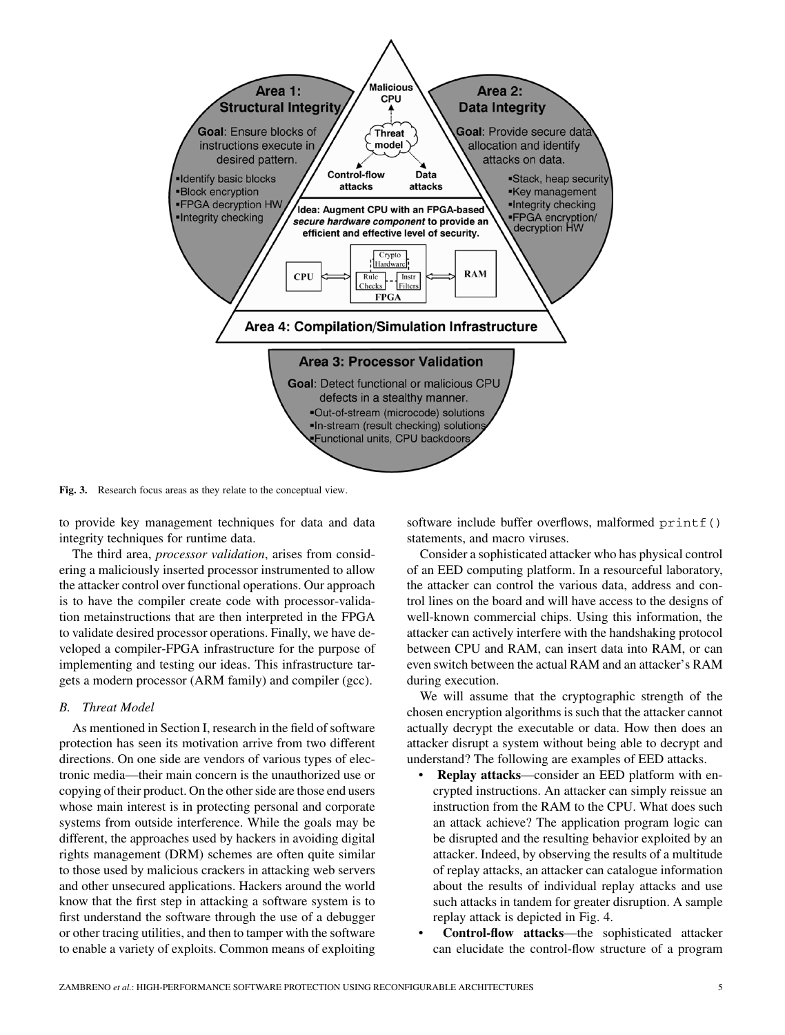

**Fig. 3.** Research focus areas as they relate to the conceptual view.

to provide key management techniques for data and data integrity techniques for runtime data.

The third area, *processor validation*, arises from considering a maliciously inserted processor instrumented to allow the attacker control over functional operations. Our approach is to have the compiler create code with processor-validation metainstructions that are then interpreted in the FPGA to validate desired processor operations. Finally, we have developed a compiler-FPGA infrastructure for the purpose of implementing and testing our ideas. This infrastructure targets a modern processor (ARM family) and compiler (gcc).

## *B. Threat Model*

As mentioned in Section I, research in the field of software protection has seen its motivation arrive from two different directions. On one side are vendors of various types of electronic media—their main concern is the unauthorized use or copying of their product. On the other side are those end users whose main interest is in protecting personal and corporate systems from outside interference. While the goals may be different, the approaches used by hackers in avoiding digital rights management (DRM) schemes are often quite similar to those used by malicious crackers in attacking web servers and other unsecured applications. Hackers around the world know that the first step in attacking a software system is to first understand the software through the use of a debugger or other tracing utilities, and then to tamper with the software to enable a variety of exploits. Common means of exploiting software include buffer overflows, malformed printf() statements, and macro viruses.

Consider a sophisticated attacker who has physical control of an EED computing platform. In a resourceful laboratory, the attacker can control the various data, address and control lines on the board and will have access to the designs of well-known commercial chips. Using this information, the attacker can actively interfere with the handshaking protocol between CPU and RAM, can insert data into RAM, or can even switch between the actual RAM and an attacker's RAM during execution.

We will assume that the cryptographic strength of the chosen encryption algorithms is such that the attacker cannot actually decrypt the executable or data. How then does an attacker disrupt a system without being able to decrypt and understand? The following are examples of EED attacks.

- **Replay attacks**—consider an EED platform with encrypted instructions. An attacker can simply reissue an instruction from the RAM to the CPU. What does such an attack achieve? The application program logic can be disrupted and the resulting behavior exploited by an attacker. Indeed, by observing the results of a multitude of replay attacks, an attacker can catalogue information about the results of individual replay attacks and use such attacks in tandem for greater disruption. A sample replay attack is depicted in Fig. 4.
- **Control-flow attacks**—the sophisticated attacker can elucidate the control-flow structure of a program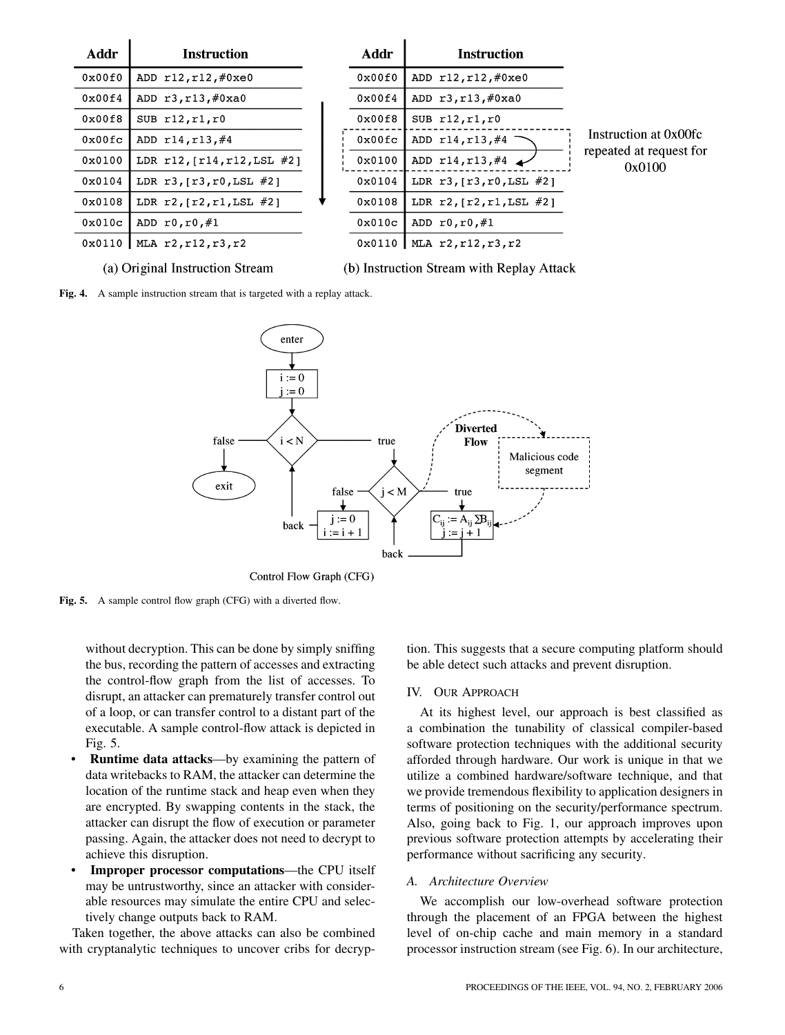

(a) Original Instruction Stream

(b) Instruction Stream with Replay Attack

**Fig. 4.** A sample instruction stream that is targeted with a replay attack.



Control Flow Graph (CFG)

**Fig. 5.** A sample control flow graph (CFG) with a diverted flow.

without decryption. This can be done by simply sniffing the bus, recording the pattern of accesses and extracting the control-flow graph from the list of accesses. To disrupt, an attacker can prematurely transfer control out of a loop, or can transfer control to a distant part of the executable. A sample control-flow attack is depicted in Fig. 5.

- **Runtime data attacks—by examining the pattern of** data writebacks to RAM, the attacker can determine the location of the runtime stack and heap even when they are encrypted. By swapping contents in the stack, the attacker can disrupt the flow of execution or parameter passing. Again, the attacker does not need to decrypt to achieve this disruption.
- **Improper processor computations—the CPU itself** may be untrustworthy, since an attacker with considerable resources may simulate the entire CPU and selectively change outputs back to RAM.

Taken together, the above attacks can also be combined with cryptanalytic techniques to uncover cribs for decryption. This suggests that a secure computing platform should be able detect such attacks and prevent disruption.

## IV. OUR APPROACH

At its highest level, our approach is best classified as a combination the tunability of classical compiler-based software protection techniques with the additional security afforded through hardware. Our work is unique in that we utilize a combined hardware/software technique, and that we provide tremendous flexibility to application designers in terms of positioning on the security/performance spectrum. Also, going back to Fig. 1, our approach improves upon previous software protection attempts by accelerating their performance without sacrificing any security.

## *A. Architecture Overview*

We accomplish our low-overhead software protection through the placement of an FPGA between the highest level of on-chip cache and main memory in a standard processor instruction stream (see Fig. 6). In our architecture,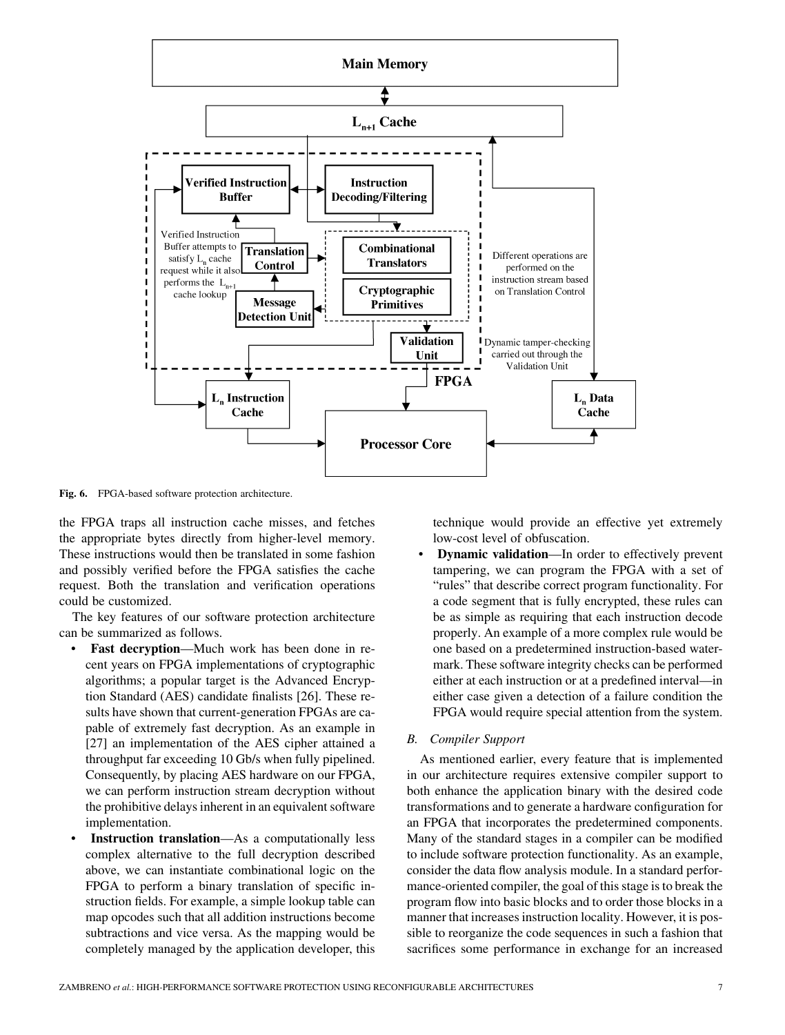

Fig. 6. FPGA-based software protection architecture.

the FPGA traps all instruction cache misses, and fetches the appropriate bytes directly from higher-level memory. These instructions would then be translated in some fashion and possibly verified before the FPGA satisfies the cache request. Both the translation and verification operations could be customized.

The key features of our software protection architecture can be summarized as follows.

- **Fast decryption—Much** work has been done in recent years on FPGA implementations of cryptographic algorithms; a popular target is the Advanced Encryption Standard (AES) candidate finalists [26]. These results have shown that current-generation FPGAs are capable of extremely fast decryption. As an example in [27] an implementation of the AES cipher attained a throughput far exceeding 10 Gb/s when fully pipelined. Consequently, by placing AES hardware on our FPGA, we can perform instruction stream decryption without the prohibitive delays inherent in an equivalent software implementation.
- **Instruction translation**—As a computationally less complex alternative to the full decryption described above, we can instantiate combinational logic on the FPGA to perform a binary translation of specific instruction fields. For example, a simple lookup table can map opcodes such that all addition instructions become subtractions and vice versa. As the mapping would be completely managed by the application developer, this

technique would provide an effective yet extremely low-cost level of obfuscation.

**Dynamic validation—In** order to effectively prevent tampering, we can program the FPGA with a set of "rules" that describe correct program functionality. For a code segment that is fully encrypted, these rules can be as simple as requiring that each instruction decode properly. An example of a more complex rule would be one based on a predetermined instruction-based watermark. These software integrity checks can be performed either at each instruction or at a predefined interval—in either case given a detection of a failure condition the FPGA would require special attention from the system.

#### *B. Compiler Support*

As mentioned earlier, every feature that is implemented in our architecture requires extensive compiler support to both enhance the application binary with the desired code transformations and to generate a hardware configuration for an FPGA that incorporates the predetermined components. Many of the standard stages in a compiler can be modified to include software protection functionality. As an example, consider the data flow analysis module. In a standard performance-oriented compiler, the goal of this stage is to break the program flow into basic blocks and to order those blocks in a manner that increases instruction locality. However, it is possible to reorganize the code sequences in such a fashion that sacrifices some performance in exchange for an increased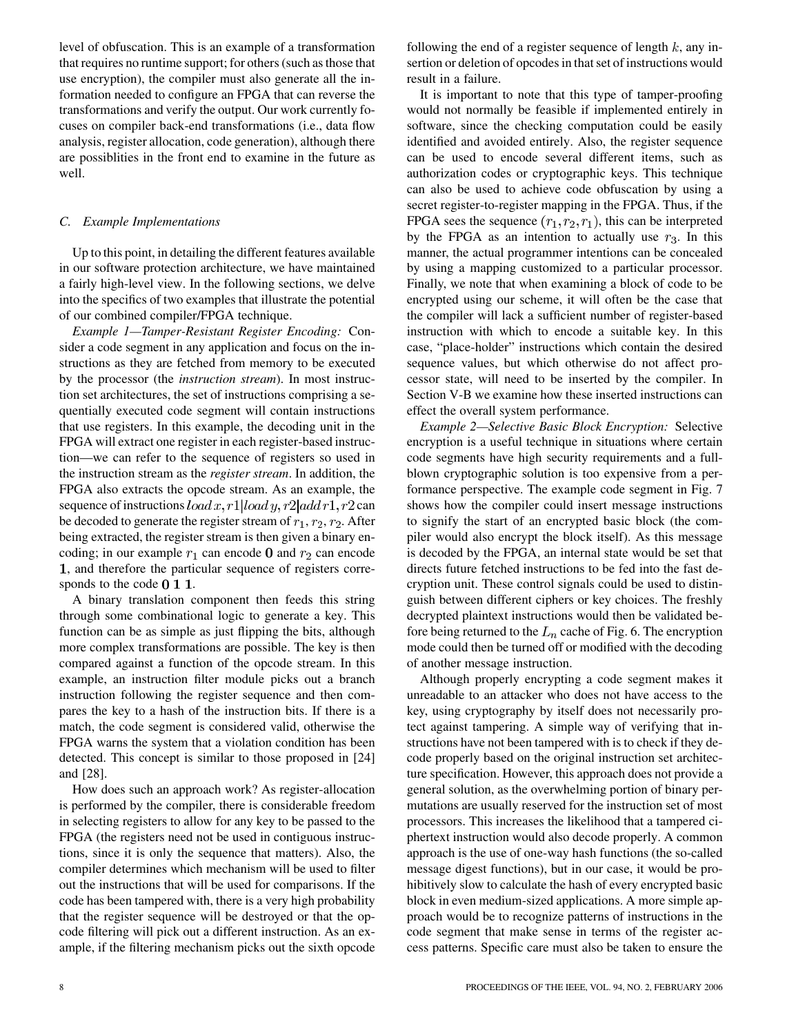level of obfuscation. This is an example of a transformation that requires no runtime support; for others (such as those that use encryption), the compiler must also generate all the information needed to configure an FPGA that can reverse the transformations and verify the output. Our work currently focuses on compiler back-end transformations (i.e., data flow analysis, register allocation, code generation), although there are possiblities in the front end to examine in the future as well.

#### *C. Example Implementations*

Up to this point, in detailing the different features available in our software protection architecture, we have maintained a fairly high-level view. In the following sections, we delve into the specifics of two examples that illustrate the potential of our combined compiler/FPGA technique.

*Example 1—Tamper-Resistant Register Encoding:* Consider a code segment in any application and focus on the instructions as they are fetched from memory to be executed by the processor (the *instruction stream*). In most instruction set architectures, the set of instructions comprising a sequentially executed code segment will contain instructions that use registers. In this example, the decoding unit in the FPGA will extract one register in each register-based instruction—we can refer to the sequence of registers so used in the instruction stream as the *register stream*. In addition, the FPGA also extracts the opcode stream. As an example, the sequence of instructions  $load x, r1 | load y, r2 | add r1, r2$  can be decoded to generate the register stream of  $r_1, r_2, r_2$ . After being extracted, the register stream is then given a binary encoding; in our example  $r_1$  can encode 0 and  $r_2$  can encode , and therefore the particular sequence of registers corresponds to the code  $0 \ 1 \ 1$ .

A binary translation component then feeds this string through some combinational logic to generate a key. This function can be as simple as just flipping the bits, although more complex transformations are possible. The key is then compared against a function of the opcode stream. In this example, an instruction filter module picks out a branch instruction following the register sequence and then compares the key to a hash of the instruction bits. If there is a match, the code segment is considered valid, otherwise the FPGA warns the system that a violation condition has been detected. This concept is similar to those proposed in [24] and [28].

How does such an approach work? As register-allocation is performed by the compiler, there is considerable freedom in selecting registers to allow for any key to be passed to the FPGA (the registers need not be used in contiguous instructions, since it is only the sequence that matters). Also, the compiler determines which mechanism will be used to filter out the instructions that will be used for comparisons. If the code has been tampered with, there is a very high probability that the register sequence will be destroyed or that the opcode filtering will pick out a different instruction. As an example, if the filtering mechanism picks out the sixth opcode following the end of a register sequence of length  $k$ , any insertion or deletion of opcodes in that set of instructions would result in a failure.

It is important to note that this type of tamper-proofing would not normally be feasible if implemented entirely in software, since the checking computation could be easily identified and avoided entirely. Also, the register sequence can be used to encode several different items, such as authorization codes or cryptographic keys. This technique can also be used to achieve code obfuscation by using a secret register-to-register mapping in the FPGA. Thus, if the FPGA sees the sequence  $(r_1, r_2, r_1)$ , this can be interpreted by the FPGA as an intention to actually use  $r_3$ . In this manner, the actual programmer intentions can be concealed by using a mapping customized to a particular processor. Finally, we note that when examining a block of code to be encrypted using our scheme, it will often be the case that the compiler will lack a sufficient number of register-based instruction with which to encode a suitable key. In this case, "place-holder" instructions which contain the desired sequence values, but which otherwise do not affect processor state, will need to be inserted by the compiler. In Section V-B we examine how these inserted instructions can effect the overall system performance.

*Example 2—Selective Basic Block Encryption:* Selective encryption is a useful technique in situations where certain code segments have high security requirements and a fullblown cryptographic solution is too expensive from a performance perspective. The example code segment in Fig. 7 shows how the compiler could insert message instructions to signify the start of an encrypted basic block (the compiler would also encrypt the block itself). As this message is decoded by the FPGA, an internal state would be set that directs future fetched instructions to be fed into the fast decryption unit. These control signals could be used to distinguish between different ciphers or key choices. The freshly decrypted plaintext instructions would then be validated before being returned to the  $L_n$  cache of Fig. 6. The encryption mode could then be turned off or modified with the decoding of another message instruction.

Although properly encrypting a code segment makes it unreadable to an attacker who does not have access to the key, using cryptography by itself does not necessarily protect against tampering. A simple way of verifying that instructions have not been tampered with is to check if they decode properly based on the original instruction set architecture specification. However, this approach does not provide a general solution, as the overwhelming portion of binary permutations are usually reserved for the instruction set of most processors. This increases the likelihood that a tampered ciphertext instruction would also decode properly. A common approach is the use of one-way hash functions (the so-called message digest functions), but in our case, it would be prohibitively slow to calculate the hash of every encrypted basic block in even medium-sized applications. A more simple approach would be to recognize patterns of instructions in the code segment that make sense in terms of the register access patterns. Specific care must also be taken to ensure the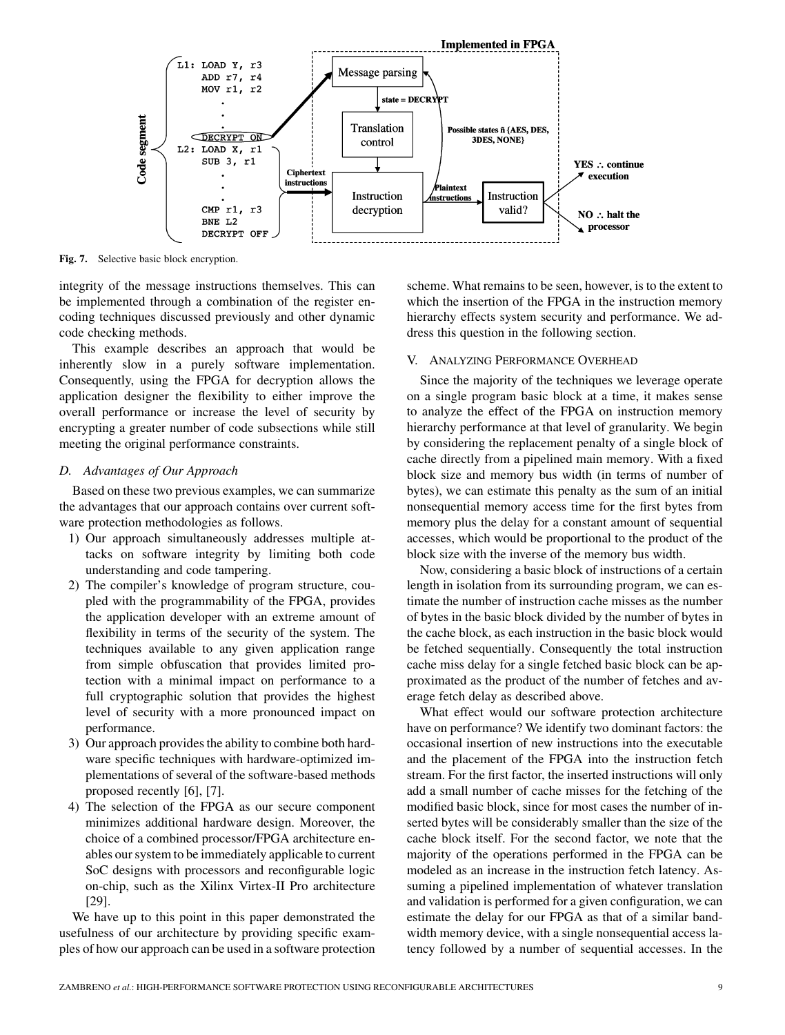

**Fig. 7.** Selective basic block encryption.

integrity of the message instructions themselves. This can be implemented through a combination of the register encoding techniques discussed previously and other dynamic code checking methods.

This example describes an approach that would be inherently slow in a purely software implementation. Consequently, using the FPGA for decryption allows the application designer the flexibility to either improve the overall performance or increase the level of security by encrypting a greater number of code subsections while still meeting the original performance constraints.

## *D. Advantages of Our Approach*

Based on these two previous examples, we can summarize the advantages that our approach contains over current software protection methodologies as follows.

- 1) Our approach simultaneously addresses multiple attacks on software integrity by limiting both code understanding and code tampering.
- 2) The compiler's knowledge of program structure, coupled with the programmability of the FPGA, provides the application developer with an extreme amount of flexibility in terms of the security of the system. The techniques available to any given application range from simple obfuscation that provides limited protection with a minimal impact on performance to a full cryptographic solution that provides the highest level of security with a more pronounced impact on performance.
- 3) Our approach provides the ability to combine both hardware specific techniques with hardware-optimized implementations of several of the software-based methods proposed recently [6], [7].
- 4) The selection of the FPGA as our secure component minimizes additional hardware design. Moreover, the choice of a combined processor/FPGA architecture enables our system to be immediately applicable to current SoC designs with processors and reconfigurable logic on-chip, such as the Xilinx Virtex-II Pro architecture [29].

We have up to this point in this paper demonstrated the usefulness of our architecture by providing specific examples of how our approach can be used in a software protection scheme. What remains to be seen, however, is to the extent to which the insertion of the FPGA in the instruction memory hierarchy effects system security and performance. We address this question in the following section.

## V. ANALYZING PERFORMANCE OVERHEAD

Since the majority of the techniques we leverage operate on a single program basic block at a time, it makes sense to analyze the effect of the FPGA on instruction memory hierarchy performance at that level of granularity. We begin by considering the replacement penalty of a single block of cache directly from a pipelined main memory. With a fixed block size and memory bus width (in terms of number of bytes), we can estimate this penalty as the sum of an initial nonsequential memory access time for the first bytes from memory plus the delay for a constant amount of sequential accesses, which would be proportional to the product of the block size with the inverse of the memory bus width.

Now, considering a basic block of instructions of a certain length in isolation from its surrounding program, we can estimate the number of instruction cache misses as the number of bytes in the basic block divided by the number of bytes in the cache block, as each instruction in the basic block would be fetched sequentially. Consequently the total instruction cache miss delay for a single fetched basic block can be approximated as the product of the number of fetches and average fetch delay as described above.

What effect would our software protection architecture have on performance? We identify two dominant factors: the occasional insertion of new instructions into the executable and the placement of the FPGA into the instruction fetch stream. For the first factor, the inserted instructions will only add a small number of cache misses for the fetching of the modified basic block, since for most cases the number of inserted bytes will be considerably smaller than the size of the cache block itself. For the second factor, we note that the majority of the operations performed in the FPGA can be modeled as an increase in the instruction fetch latency. Assuming a pipelined implementation of whatever translation and validation is performed for a given configuration, we can estimate the delay for our FPGA as that of a similar bandwidth memory device, with a single nonsequential access latency followed by a number of sequential accesses. In the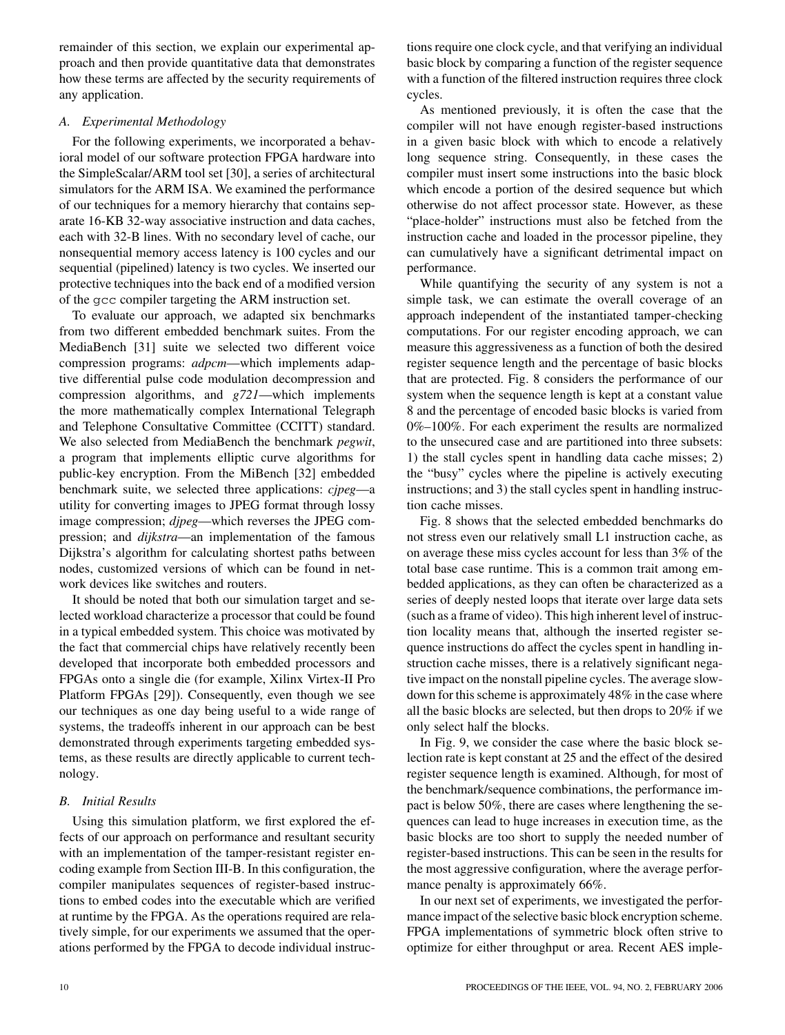remainder of this section, we explain our experimental approach and then provide quantitative data that demonstrates how these terms are affected by the security requirements of any application.

## *A. Experimental Methodology*

For the following experiments, we incorporated a behavioral model of our software protection FPGA hardware into the SimpleScalar/ARM tool set [30], a series of architectural simulators for the ARM ISA. We examined the performance of our techniques for a memory hierarchy that contains separate 16-KB 32-way associative instruction and data caches, each with 32-B lines. With no secondary level of cache, our nonsequential memory access latency is 100 cycles and our sequential (pipelined) latency is two cycles. We inserted our protective techniques into the back end of a modified version of the gcc compiler targeting the ARM instruction set.

To evaluate our approach, we adapted six benchmarks from two different embedded benchmark suites. From the MediaBench [31] suite we selected two different voice compression programs: *adpcm*—which implements adaptive differential pulse code modulation decompression and compression algorithms, and *g721*—which implements the more mathematically complex International Telegraph and Telephone Consultative Committee (CCITT) standard. We also selected from MediaBench the benchmark *pegwit*, a program that implements elliptic curve algorithms for public-key encryption. From the MiBench [32] embedded benchmark suite, we selected three applications: *cjpeg*—a utility for converting images to JPEG format through lossy image compression; *djpeg*—which reverses the JPEG compression; and *dijkstra*—an implementation of the famous Dijkstra's algorithm for calculating shortest paths between nodes, customized versions of which can be found in network devices like switches and routers.

It should be noted that both our simulation target and selected workload characterize a processor that could be found in a typical embedded system. This choice was motivated by the fact that commercial chips have relatively recently been developed that incorporate both embedded processors and FPGAs onto a single die (for example, Xilinx Virtex-II Pro Platform FPGAs [29]). Consequently, even though we see our techniques as one day being useful to a wide range of systems, the tradeoffs inherent in our approach can be best demonstrated through experiments targeting embedded systems, as these results are directly applicable to current technology.

## *B. Initial Results*

Using this simulation platform, we first explored the effects of our approach on performance and resultant security with an implementation of the tamper-resistant register encoding example from Section III-B. In this configuration, the compiler manipulates sequences of register-based instructions to embed codes into the executable which are verified at runtime by the FPGA. As the operations required are relatively simple, for our experiments we assumed that the operations performed by the FPGA to decode individual instruc-

tions require one clock cycle, and that verifying an individual basic block by comparing a function of the register sequence with a function of the filtered instruction requires three clock cycles.

As mentioned previously, it is often the case that the compiler will not have enough register-based instructions in a given basic block with which to encode a relatively long sequence string. Consequently, in these cases the compiler must insert some instructions into the basic block which encode a portion of the desired sequence but which otherwise do not affect processor state. However, as these "place-holder" instructions must also be fetched from the instruction cache and loaded in the processor pipeline, they can cumulatively have a significant detrimental impact on performance.

While quantifying the security of any system is not a simple task, we can estimate the overall coverage of an approach independent of the instantiated tamper-checking computations. For our register encoding approach, we can measure this aggressiveness as a function of both the desired register sequence length and the percentage of basic blocks that are protected. Fig. 8 considers the performance of our system when the sequence length is kept at a constant value 8 and the percentage of encoded basic blocks is varied from 0%–100%. For each experiment the results are normalized to the unsecured case and are partitioned into three subsets: 1) the stall cycles spent in handling data cache misses; 2) the "busy" cycles where the pipeline is actively executing instructions; and 3) the stall cycles spent in handling instruction cache misses.

Fig. 8 shows that the selected embedded benchmarks do not stress even our relatively small L1 instruction cache, as on average these miss cycles account for less than 3% of the total base case runtime. This is a common trait among embedded applications, as they can often be characterized as a series of deeply nested loops that iterate over large data sets (such as a frame of video). This high inherent level of instruction locality means that, although the inserted register sequence instructions do affect the cycles spent in handling instruction cache misses, there is a relatively significant negative impact on the nonstall pipeline cycles. The average slowdown for this scheme is approximately 48% in the case where all the basic blocks are selected, but then drops to 20% if we only select half the blocks.

In Fig. 9, we consider the case where the basic block selection rate is kept constant at 25 and the effect of the desired register sequence length is examined. Although, for most of the benchmark/sequence combinations, the performance impact is below 50%, there are cases where lengthening the sequences can lead to huge increases in execution time, as the basic blocks are too short to supply the needed number of register-based instructions. This can be seen in the results for the most aggressive configuration, where the average performance penalty is approximately 66%.

In our next set of experiments, we investigated the performance impact of the selective basic block encryption scheme. FPGA implementations of symmetric block often strive to optimize for either throughput or area. Recent AES imple-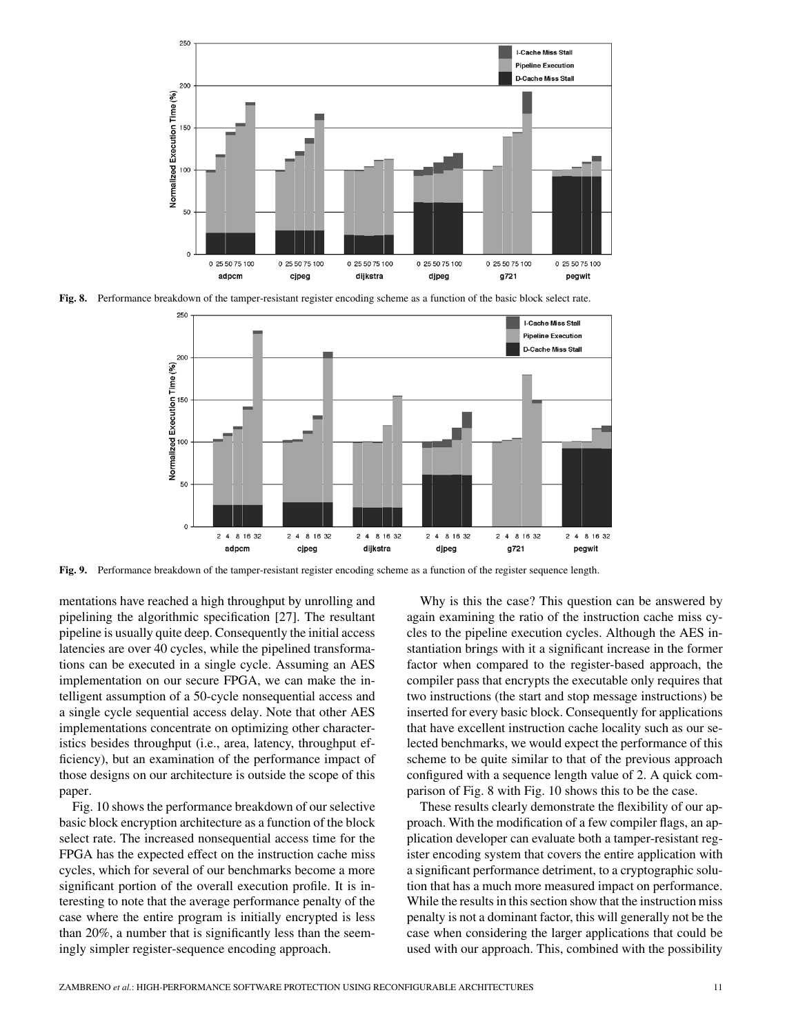

**Fig. 8.** Performance breakdown of the tamper-resistant register encoding scheme as a function of the basic block select rate.



**Fig. 9.** Performance breakdown of the tamper-resistant register encoding scheme as a function of the register sequence length.

mentations have reached a high throughput by unrolling and pipelining the algorithmic specification [27]. The resultant pipeline is usually quite deep. Consequently the initial access latencies are over 40 cycles, while the pipelined transformations can be executed in a single cycle. Assuming an AES implementation on our secure FPGA, we can make the intelligent assumption of a 50-cycle nonsequential access and a single cycle sequential access delay. Note that other AES implementations concentrate on optimizing other characteristics besides throughput (i.e., area, latency, throughput efficiency), but an examination of the performance impact of those designs on our architecture is outside the scope of this paper.

Fig. 10 shows the performance breakdown of our selective basic block encryption architecture as a function of the block select rate. The increased nonsequential access time for the FPGA has the expected effect on the instruction cache miss cycles, which for several of our benchmarks become a more significant portion of the overall execution profile. It is interesting to note that the average performance penalty of the case where the entire program is initially encrypted is less than 20%, a number that is significantly less than the seemingly simpler register-sequence encoding approach.

Why is this the case? This question can be answered by again examining the ratio of the instruction cache miss cycles to the pipeline execution cycles. Although the AES instantiation brings with it a significant increase in the former factor when compared to the register-based approach, the compiler pass that encrypts the executable only requires that two instructions (the start and stop message instructions) be inserted for every basic block. Consequently for applications that have excellent instruction cache locality such as our selected benchmarks, we would expect the performance of this scheme to be quite similar to that of the previous approach configured with a sequence length value of 2. A quick comparison of Fig. 8 with Fig. 10 shows this to be the case.

These results clearly demonstrate the flexibility of our approach. With the modification of a few compiler flags, an application developer can evaluate both a tamper-resistant register encoding system that covers the entire application with a significant performance detriment, to a cryptographic solution that has a much more measured impact on performance. While the results in this section show that the instruction miss penalty is not a dominant factor, this will generally not be the case when considering the larger applications that could be used with our approach. This, combined with the possibility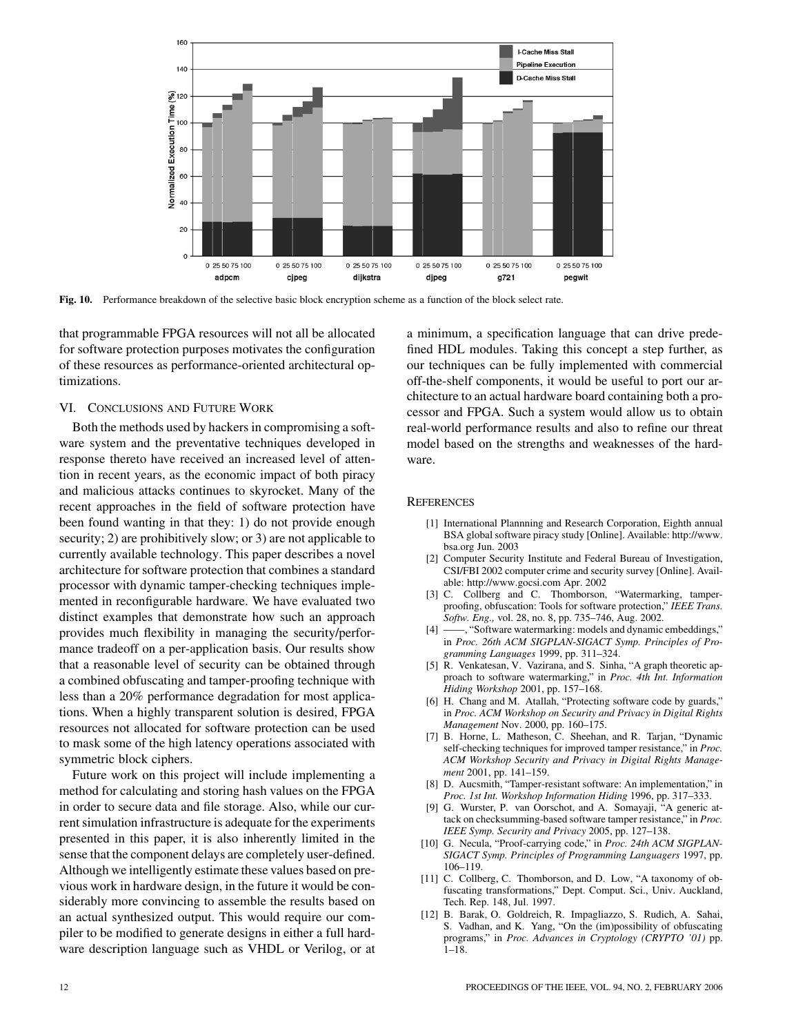

**Fig. 10.** Performance breakdown of the selective basic block encryption scheme as a function of the block select rate.

that programmable FPGA resources will not all be allocated for software protection purposes motivates the configuration of these resources as performance-oriented architectural optimizations.

#### VI. CONCLUSIONS AND FUTURE WORK

Both the methods used by hackers in compromising a software system and the preventative techniques developed in response thereto have received an increased level of attention in recent years, as the economic impact of both piracy and malicious attacks continues to skyrocket. Many of the recent approaches in the field of software protection have been found wanting in that they: 1) do not provide enough security; 2) are prohibitively slow; or 3) are not applicable to currently available technology. This paper describes a novel architecture for software protection that combines a standard processor with dynamic tamper-checking techniques implemented in reconfigurable hardware. We have evaluated two distinct examples that demonstrate how such an approach provides much flexibility in managing the security/performance tradeoff on a per-application basis. Our results show that a reasonable level of security can be obtained through a combined obfuscating and tamper-proofing technique with less than a 20% performance degradation for most applications. When a highly transparent solution is desired, FPGA resources not allocated for software protection can be used to mask some of the high latency operations associated with symmetric block ciphers.

Future work on this project will include implementing a method for calculating and storing hash values on the FPGA in order to secure data and file storage. Also, while our current simulation infrastructure is adequate for the experiments presented in this paper, it is also inherently limited in the sense that the component delays are completely user-defined. Although we intelligently estimate these values based on previous work in hardware design, in the future it would be considerably more convincing to assemble the results based on an actual synthesized output. This would require our compiler to be modified to generate designs in either a full hardware description language such as VHDL or Verilog, or at

a minimum, a specification language that can drive predefined HDL modules. Taking this concept a step further, as our techniques can be fully implemented with commercial off-the-shelf components, it would be useful to port our architecture to an actual hardware board containing both a processor and FPGA. Such a system would allow us to obtain real-world performance results and also to refine our threat model based on the strengths and weaknesses of the hardware.

#### **REFERENCES**

- [1] International Plannning and Research Corporation, Eighth annual BSA global software piracy study [Online]. Available: http://www. bsa.org Jun. 2003
- [2] Computer Security Institute and Federal Bureau of Investigation, CSI/FBI 2002 computer crime and security survey [Online]. Available: http://www.gocsi.com Apr. 2002
- [3] C. Collberg and C. Thomborson, "Watermarking, tamperproofing, obfuscation: Tools for software protection," *IEEE Trans. Softw. Eng.,* vol. 28, no. 8, pp. 735–746, Aug. 2002.
- [4] ——, "Software watermarking: models and dynamic embeddings," in *Proc. 26th ACM SIGPLAN-SIGACT Symp. Principles of Programming Languages* 1999, pp. 311–324.
- [5] R. Venkatesan, V. Vazirana, and S. Sinha, "A graph theoretic approach to software watermarking," in *Proc. 4th Int. Information Hiding Workshop* 2001, pp. 157–168.
- [6] H. Chang and M. Atallah, "Protecting software code by guards," in *Proc. ACM Workshop on Security and Privacy in Digital Rights Management* Nov. 2000, pp. 160–175.
- [7] B. Horne, L. Matheson, C. Sheehan, and R. Tarjan, "Dynamic self-checking techniques for improved tamper resistance," in *Proc. ACM Workshop Security and Privacy in Digital Rights Management* 2001, pp. 141–159.
- [8] D. Aucsmith, "Tamper-resistant software: An implementation," in *Proc. 1st Int. Workshop Information Hiding* 1996, pp. 317–333.
- [9] G. Wurster, P. van Oorschot, and A. Somayaji, "A generic attack on checksumming-based software tamper resistance," in *Proc. IEEE Symp. Security and Privacy* 2005, pp. 127–138.
- [10] G. Necula, "Proof-carrying code," in *Proc. 24th ACM SIGPLAN-SIGACT Symp. Principles of Programming Languagers* 1997, pp. 106–119.
- [11] C. Collberg, C. Thomborson, and D. Low, "A taxonomy of obfuscating transformations," Dept. Comput. Sci., Univ. Auckland, Tech. Rep. 148, Jul. 1997.
- [12] B. Barak, O. Goldreich, R. Impagliazzo, S. Rudich, A. Sahai, S. Vadhan, and K. Yang, "On the (im)possibility of obfuscating programs," in *Proc. Advances in Cryptology (CRYPTO '01)* pp. 1–18.